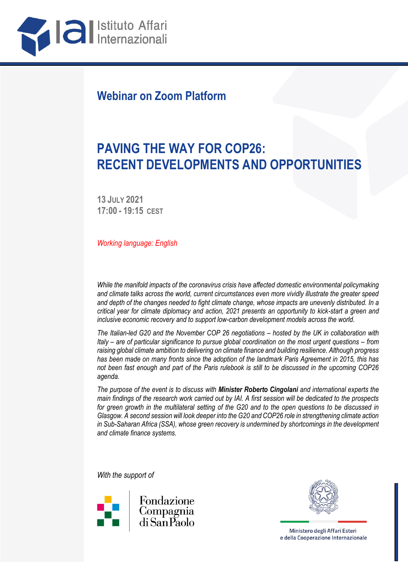

## **Webinar on Zoom Platform**

# **PAVING THE WAY FOR COP26: RECENT DEVELOPMENTS AND OPPORTUNITIES**

**13 JULY 2021 17:00 - 19:15 CEST**

*Working language: English*

*While the manifold impacts of the coronavirus crisis have affected domestic environmental policymaking and climate talks across the world, current circumstances even more vividly illustrate the greater speed and depth of the changes needed to fight climate change, whose impacts are unevenly distributed. In a critical year for climate diplomacy and action, 2021 presents an opportunity to kick-start a green and inclusive economic recovery and to support low-carbon development models across the world.*

*The Italian-led G20 and the November COP 26 negotiations – hosted by the UK in collaboration with Italy – are of particular significance to pursue global coordination on the most urgent questions – from raising global climate ambition to delivering on climate finance and building resilience. Although progress has been made on many fronts since the adoption of the landmark Paris Agreement in 2015, this has not been fast enough and part of the Paris rulebook is still to be discussed in the upcoming COP26 agenda.*

*The purpose of the event is to discuss with Minister Roberto Cingolani and international experts the main findings of the research work carried out by IAI. A first session will be dedicated to the prospects for green growth in the multilateral setting of the G20 and to the open questions to be discussed in Glasgow. A second session will look deeper into the G20 and COP26 role in strengthening climate action in Sub-Saharan Africa (SSA), whose green recovery is undermined by shortcomings in the development and climate finance systems.*

*With the support of*





Ministero degli Affari Esteri e della Cooperazione Internazionale